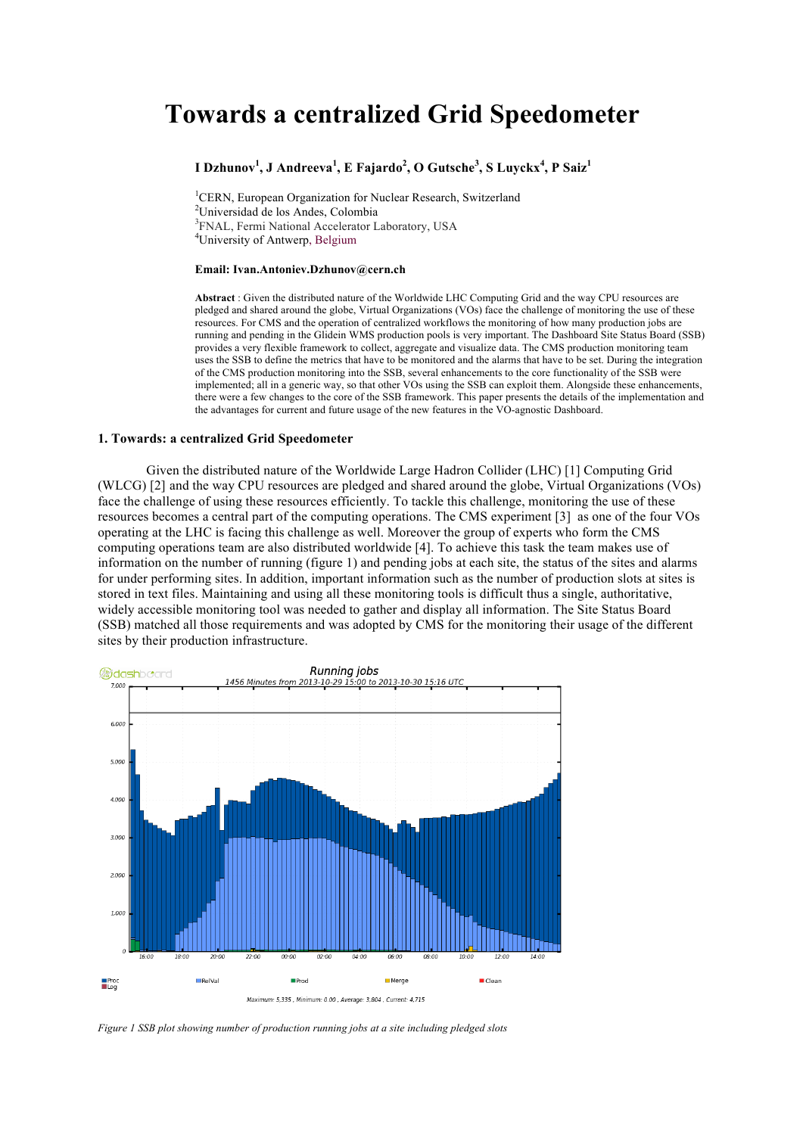# **Towards a centralized Grid Speedometer**

## **I Dzhunov<sup>1</sup> , J Andreeva<sup>1</sup> , E Fajardo<sup>2</sup> , O Gutsche<sup>3</sup> , S Luyckx<sup>4</sup> , P Saiz<sup>1</sup>**

<sup>1</sup>CERN, European Organization for Nuclear Research, Switzerland 2 Universidad de los Andes, Colombia <sup>3</sup> FNAL, Fermi National Accelerator Laboratory, USA University of Antwerp, Belgium

#### **Email: Ivan.Antoniev.Dzhunov@cern.ch**

**Abstract** : Given the distributed nature of the Worldwide LHC Computing Grid and the way CPU resources are pledged and shared around the globe, Virtual Organizations (VOs) face the challenge of monitoring the use of these resources. For CMS and the operation of centralized workflows the monitoring of how many production jobs are running and pending in the Glidein WMS production pools is very important. The Dashboard Site Status Board (SSB) provides a very flexible framework to collect, aggregate and visualize data. The CMS production monitoring team uses the SSB to define the metrics that have to be monitored and the alarms that have to be set. During the integration of the CMS production monitoring into the SSB, several enhancements to the core functionality of the SSB were implemented; all in a generic way, so that other VOs using the SSB can exploit them. Alongside these enhancements, there were a few changes to the core of the SSB framework. This paper presents the details of the implementation and the advantages for current and future usage of the new features in the VO-agnostic Dashboard.

#### **1. Towards: a centralized Grid Speedometer**

Given the distributed nature of the Worldwide Large Hadron Collider (LHC) [1] Computing Grid (WLCG) [2] and the way CPU resources are pledged and shared around the globe, Virtual Organizations (VOs) face the challenge of using these resources efficiently. To tackle this challenge, monitoring the use of these resources becomes a central part of the computing operations. The CMS experiment [3] as one of the four VOs operating at the LHC is facing this challenge as well. Moreover the group of experts who form the CMS computing operations team are also distributed worldwide [4]. To achieve this task the team makes use of information on the number of running (figure 1) and pending jobs at each site, the status of the sites and alarms for under performing sites. In addition, important information such as the number of production slots at sites is stored in text files. Maintaining and using all these monitoring tools is difficult thus a single, authoritative, widely accessible monitoring tool was needed to gather and display all information. The Site Status Board (SSB) matched all those requirements and was adopted by CMS for the monitoring their usage of the different sites by their production infrastructure.



*Figure 1 SSB plot showing number of production running jobs at a site including pledged slots*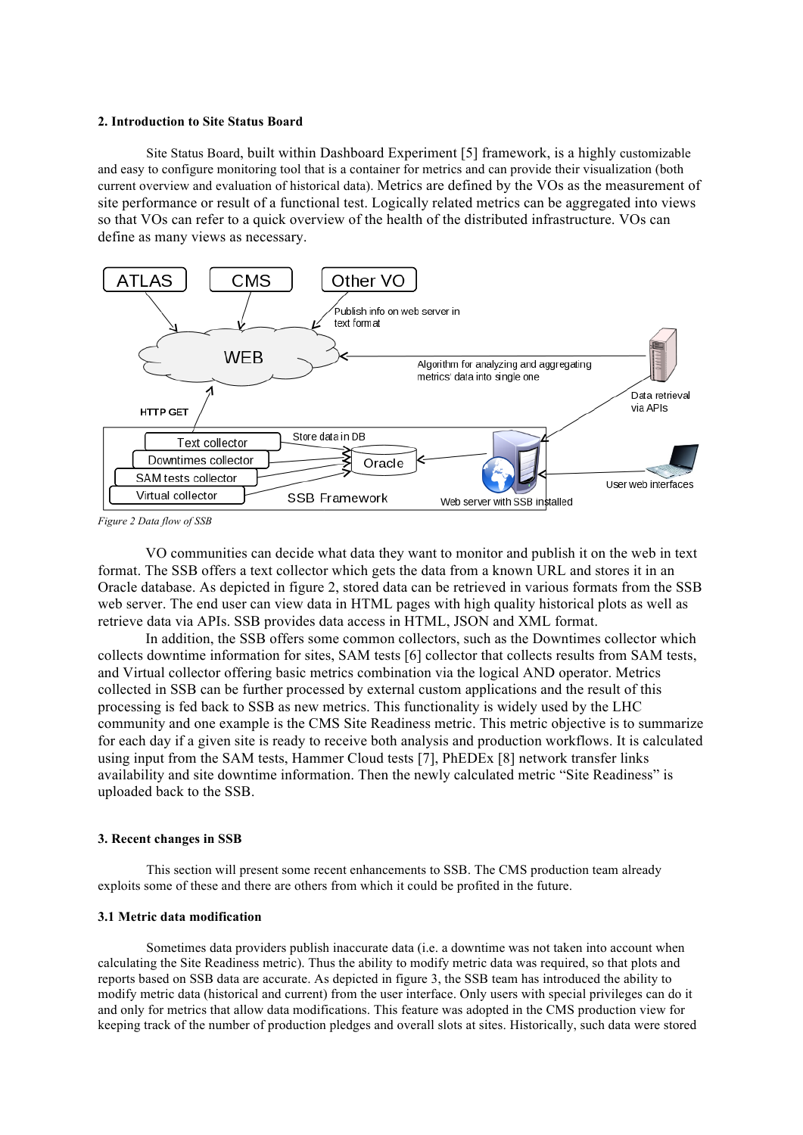#### **2. Introduction to Site Status Board**

Site Status Board, built within Dashboard Experiment [5] framework, is a highly customizable and easy to configure monitoring tool that is a container for metrics and can provide their visualization (both current overview and evaluation of historical data). Metrics are defined by the VOs as the measurement of site performance or result of a functional test. Logically related metrics can be aggregated into views so that VOs can refer to a quick overview of the health of the distributed infrastructure. VOs can define as many views as necessary.



*Figure 2 Data flow of SSB*

VO communities can decide what data they want to monitor and publish it on the web in text format. The SSB offers a text collector which gets the data from a known URL and stores it in an Oracle database. As depicted in figure 2, stored data can be retrieved in various formats from the SSB web server. The end user can view data in HTML pages with high quality historical plots as well as retrieve data via APIs. SSB provides data access in HTML, JSON and XML format.

In addition, the SSB offers some common collectors, such as the Downtimes collector which collects downtime information for sites, SAM tests [6] collector that collects results from SAM tests, and Virtual collector offering basic metrics combination via the logical AND operator. Metrics collected in SSB can be further processed by external custom applications and the result of this processing is fed back to SSB as new metrics. This functionality is widely used by the LHC community and one example is the CMS Site Readiness metric. This metric objective is to summarize for each day if a given site is ready to receive both analysis and production workflows. It is calculated using input from the SAM tests, Hammer Cloud tests [7], PhEDEx [8] network transfer links availability and site downtime information. Then the newly calculated metric "Site Readiness" is uploaded back to the SSB.

#### **3. Recent changes in SSB**

This section will present some recent enhancements to SSB. The CMS production team already exploits some of these and there are others from which it could be profited in the future.

#### **3.1 Metric data modification**

Sometimes data providers publish inaccurate data (i.e. a downtime was not taken into account when calculating the Site Readiness metric). Thus the ability to modify metric data was required, so that plots and reports based on SSB data are accurate. As depicted in figure 3, the SSB team has introduced the ability to modify metric data (historical and current) from the user interface. Only users with special privileges can do it and only for metrics that allow data modifications. This feature was adopted in the CMS production view for keeping track of the number of production pledges and overall slots at sites. Historically, such data were stored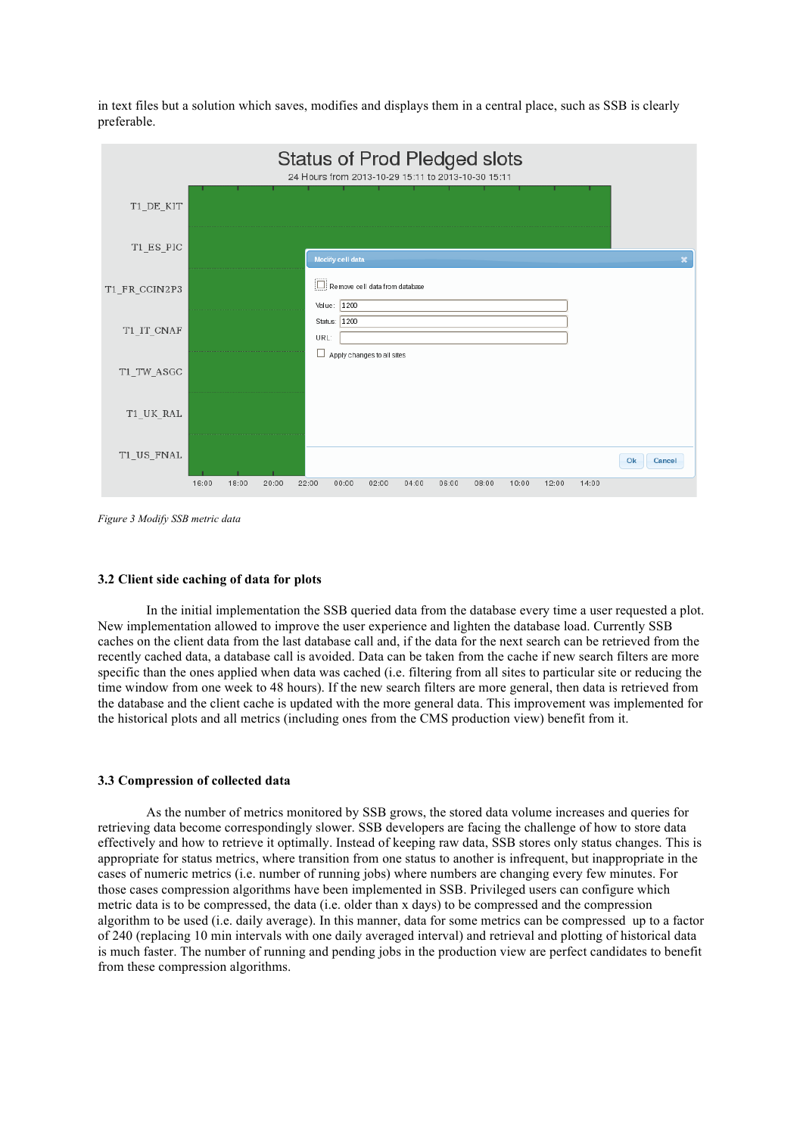in text files but a solution which saves, modifies and displays them in a central place, such as SSB is clearly preferable.

| <b>Status of Prod Pledged slots</b><br>24 Hours from 2013-10-29 15:11 to 2013-10-30 15:11 |       |       |       |       |                                                  |                            |       |       |       |       |       |       |                |
|-------------------------------------------------------------------------------------------|-------|-------|-------|-------|--------------------------------------------------|----------------------------|-------|-------|-------|-------|-------|-------|----------------|
| T1_DE_KIT                                                                                 |       |       |       |       |                                                  |                            |       |       |       |       |       |       |                |
| T1_ES_PIC                                                                                 |       |       |       |       | Modify cell data                                 |                            |       |       |       |       |       |       | $\pmb{\times}$ |
| T1_FR_CCIN2P3                                                                             |       |       |       |       | Remove cell data from database<br>1200<br>Value: |                            |       |       |       |       |       |       |                |
| T1_IT_CNAF                                                                                |       |       |       |       | 1200<br>Status:<br>URL:                          |                            |       |       |       |       |       |       |                |
| T1_TW_ASGC                                                                                |       |       |       |       |                                                  | Apply changes to all sites |       |       |       |       |       |       |                |
| T1_UK_RAL                                                                                 |       |       |       |       |                                                  |                            |       |       |       |       |       |       |                |
| T1_US_FNAL                                                                                |       |       |       |       |                                                  |                            |       |       |       |       |       |       | Ok<br>Cancel   |
|                                                                                           | 16:00 | 18:00 | 20:00 | 22:00 | 00:00                                            | 02:00                      | 04:00 | 06:00 | 08:00 | 10:00 | 12:00 | 14:00 |                |

*Figure 3 Modify SSB metric data*

#### **3.2 Client side caching of data for plots**

In the initial implementation the SSB queried data from the database every time a user requested a plot. New implementation allowed to improve the user experience and lighten the database load. Currently SSB caches on the client data from the last database call and, if the data for the next search can be retrieved from the recently cached data, a database call is avoided. Data can be taken from the cache if new search filters are more specific than the ones applied when data was cached (i.e. filtering from all sites to particular site or reducing the time window from one week to 48 hours). If the new search filters are more general, then data is retrieved from the database and the client cache is updated with the more general data. This improvement was implemented for the historical plots and all metrics (including ones from the CMS production view) benefit from it.

## **3.3 Compression of collected data**

As the number of metrics monitored by SSB grows, the stored data volume increases and queries for retrieving data become correspondingly slower. SSB developers are facing the challenge of how to store data effectively and how to retrieve it optimally. Instead of keeping raw data, SSB stores only status changes. This is appropriate for status metrics, where transition from one status to another is infrequent, but inappropriate in the cases of numeric metrics (i.e. number of running jobs) where numbers are changing every few minutes. For those cases compression algorithms have been implemented in SSB. Privileged users can configure which metric data is to be compressed, the data (i.e. older than x days) to be compressed and the compression algorithm to be used (i.e. daily average). In this manner, data for some metrics can be compressed up to a factor of 240 (replacing 10 min intervals with one daily averaged interval) and retrieval and plotting of historical data is much faster. The number of running and pending jobs in the production view are perfect candidates to benefit from these compression algorithms.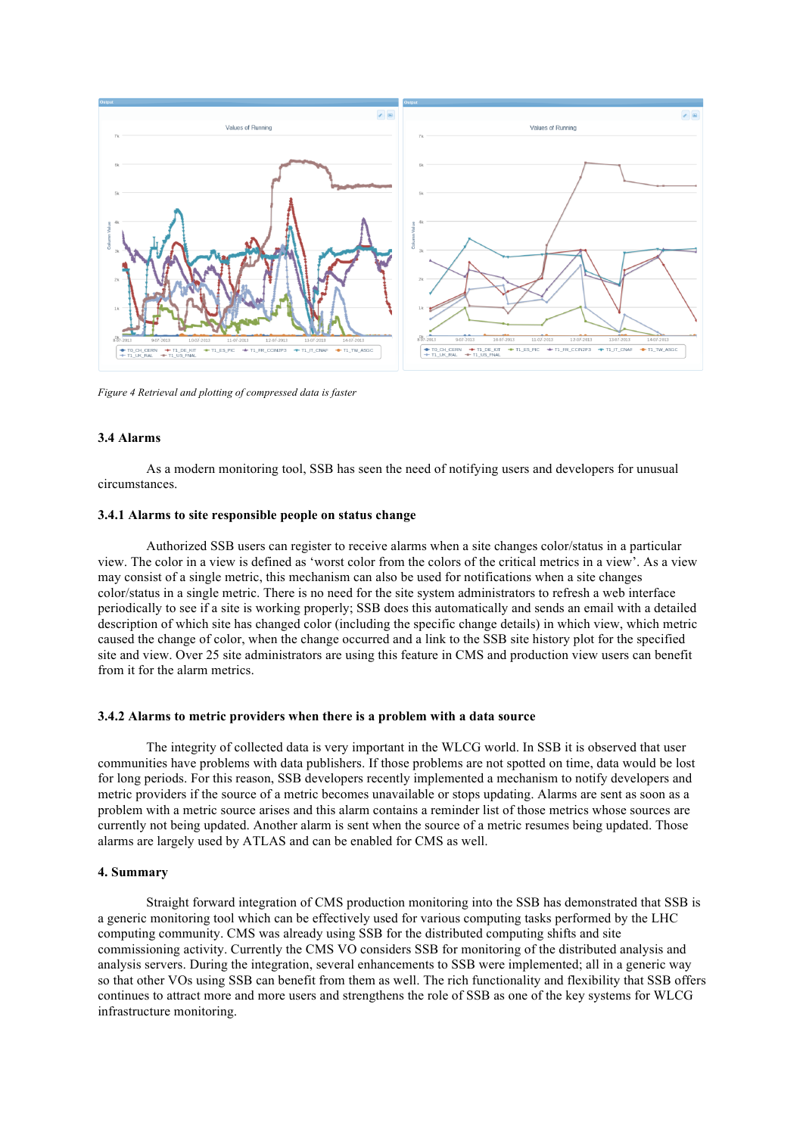

*Figure 4 Retrieval and plotting of compressed data is faster*

## **3.4 Alarms**

As a modern monitoring tool, SSB has seen the need of notifying users and developers for unusual circumstances.

## **3.4.1 Alarms to site responsible people on status change**

Authorized SSB users can register to receive alarms when a site changes color/status in a particular view. The color in a view is defined as 'worst color from the colors of the critical metrics in a view'. As a view may consist of a single metric, this mechanism can also be used for notifications when a site changes color/status in a single metric. There is no need for the site system administrators to refresh a web interface periodically to see if a site is working properly; SSB does this automatically and sends an email with a detailed description of which site has changed color (including the specific change details) in which view, which metric caused the change of color, when the change occurred and a link to the SSB site history plot for the specified site and view. Over 25 site administrators are using this feature in CMS and production view users can benefit from it for the alarm metrics.

## **3.4.2 Alarms to metric providers when there is a problem with a data source**

The integrity of collected data is very important in the WLCG world. In SSB it is observed that user communities have problems with data publishers. If those problems are not spotted on time, data would be lost for long periods. For this reason, SSB developers recently implemented a mechanism to notify developers and metric providers if the source of a metric becomes unavailable or stops updating. Alarms are sent as soon as a problem with a metric source arises and this alarm contains a reminder list of those metrics whose sources are currently not being updated. Another alarm is sent when the source of a metric resumes being updated. Those alarms are largely used by ATLAS and can be enabled for CMS as well.

#### **4. Summary**

Straight forward integration of CMS production monitoring into the SSB has demonstrated that SSB is a generic monitoring tool which can be effectively used for various computing tasks performed by the LHC computing community. CMS was already using SSB for the distributed computing shifts and site commissioning activity. Currently the CMS VO considers SSB for monitoring of the distributed analysis and analysis servers. During the integration, several enhancements to SSB were implemented; all in a generic way so that other VOs using SSB can benefit from them as well. The rich functionality and flexibility that SSB offers continues to attract more and more users and strengthens the role of SSB as one of the key systems for WLCG infrastructure monitoring.